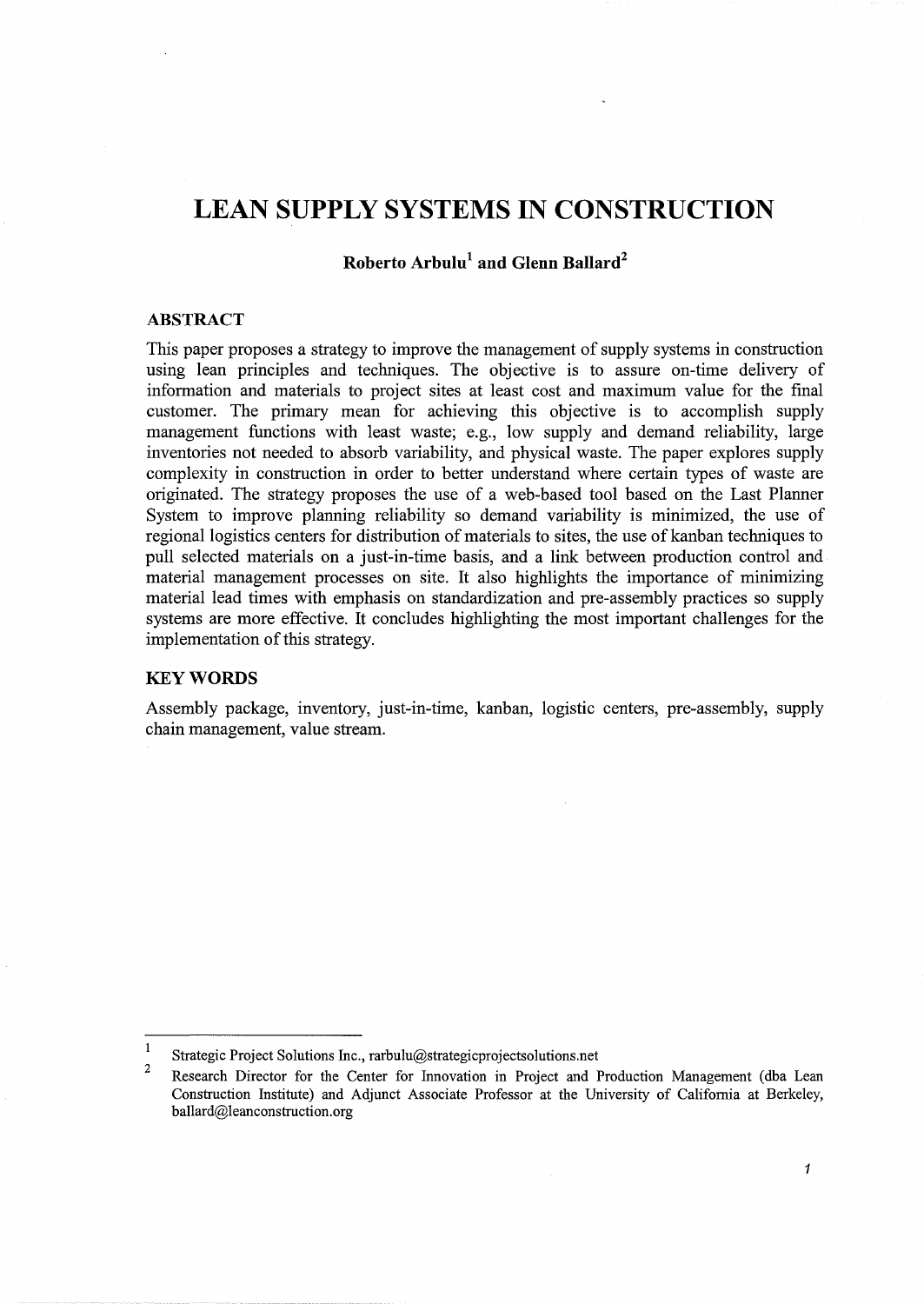# **LEAN SUPPLY SYSTEMS IN CONSTRUCTION**

## **Roberto Arbulu1 and Glenn Ballard2**

#### **ABSTRACT**

This paper proposes a strategy to improve the management of supply systems in construction using lean principles and techniques. The objective is to assure on-time delivery of information and materials to project sites at least cost and maximum value for the final customer. The primary mean for achieving this objective is to accomplish supply management functions with least waste; e.g., low supply and demand reliability, large inventories not needed to absorb variability, and physical waste. The paper explores supply complexity in construction in order to better understand where certain types of waste are originated. The strategy proposes the use of a web-based tool based on the Last Planner System to improve planning reliability so demand variability is minimized, the use of regional logistics centers for distribution of materials to sites, the use of kanban techniques to pull selected materials on a just-in-time basis, and a link between production control and material management processes on site. It also highlights the importance of minimizing material lead times with emphasis on standardization and pre-assembly practices so supply systems are more effective. It concludes highlighting the most important challenges for the implementation of this strategy.

### **KEYWORDS**

Assembly package, inventory, just-in-time, kanban, logistic centers, pre-assembly, supply chain management, value stream.

 $\overline{1}$ Strategic Project Solutions Inc., rarbulu@strategicprojectsolutions.net

<sup>2</sup>  Research Director for the Center for Innovation in Project and Production Management (dba Lean Construction Institute) and Adjunct Associate Professor at the University of California at Berkeley, ballard@leanconstruction.org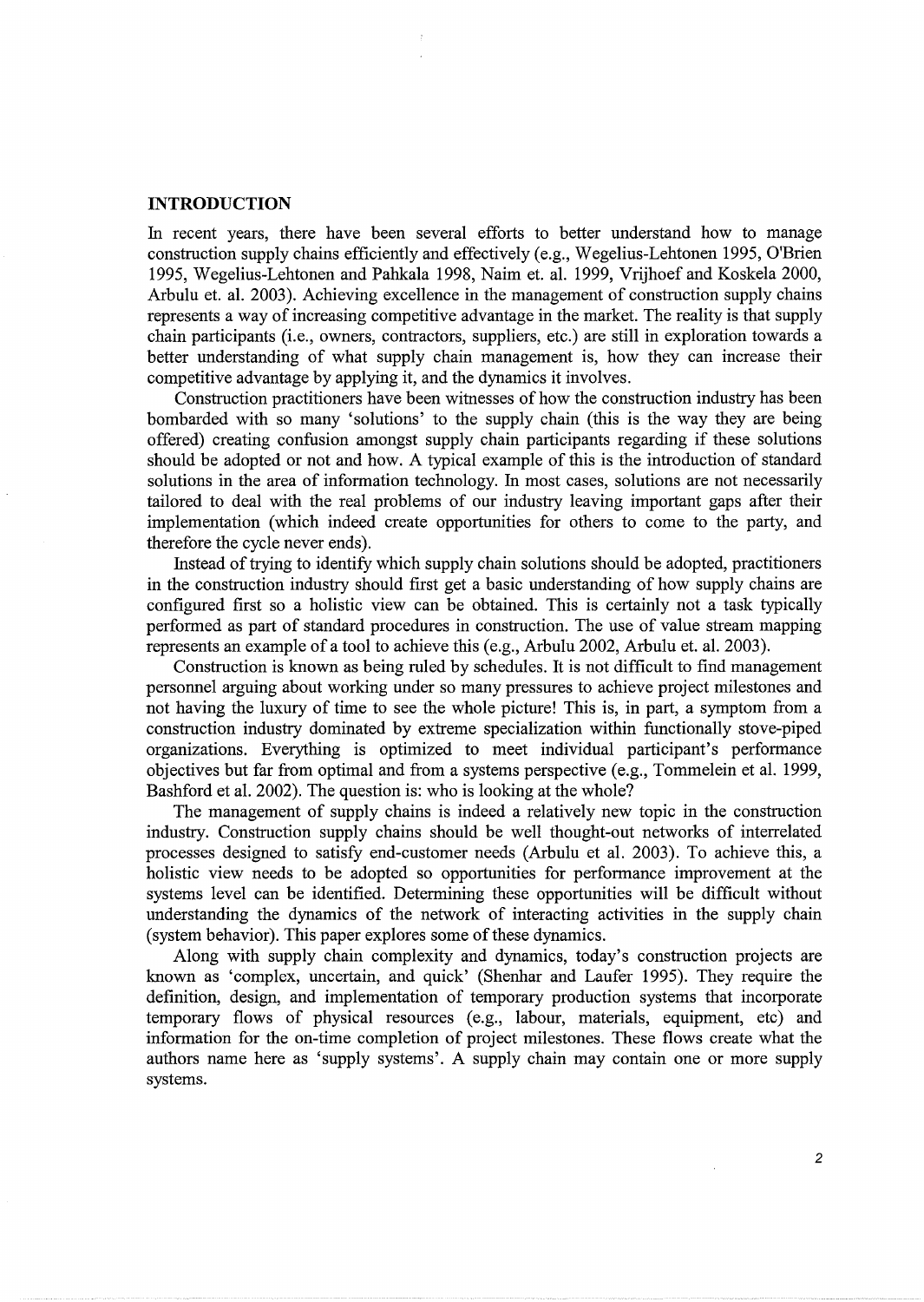### **INTRODUCTION**

In recent years, there have been several efforts to better understand how to manage construction supply chains efficiently and effectively (e.g., Wegelius-Lehtonen 1995, O'Brien 1995, Wegelius-Lehtonen and Pahkala 1998, Nairn et. al. 1999, Vrijhoef and Koskela 2000, Arbulu et. al. 2003). Achieving excellence in the management of construction supply chains represents a way of increasing competitive advantage in the market. The reality is that supply chain participants (i.e., owners, contractors, suppliers, etc.) are still in exploration towards a better understanding of what supply chain management is, how they can increase their competitive advantage by applying it, and the dynamics it involves.

Construction practitioners have been witnesses of how the construction industry has been bombarded with so many 'solutions' to the supply chain (this is the way they are being offered) creating confusion amongst supply chain participants regarding if these solutions should be adopted or not and how. A typical example of this is the introduction of standard solutions in the area of information technology. In most cases, solutions are not necessarily tailored to deal with the real problems of our industry leaving important gaps after their implementation (which indeed create opportunities for others to come to the party, and therefore the cycle never ends).

Instead of trying to identify which supply chain solutions should be adopted, practitioners in the construction industry should first get a basic understanding of how supply chains are configured first so a holistic view can be obtained. This is certainly not a task typically performed as part of standard procedures in construction. The use of value stream mapping represents an example of a tool to achieve this (e.g., Arbulu 2002, Arbulu et. al. 2003 ).

Construction is known as being ruled by schedules. It is not difficult to find management personnel arguing about working under so many pressures to achieve project milestones and not having the luxury of time to see the whole picture! This is, in part, a symptom from a construction industry dominated by extreme specialization within functionally stove-piped organizations. Everything is optimized to meet individual participant's performance objectives but far from optimal and from a systems perspective (e.g., Tommelein et al. 1999, Bashford et al. 2002). The question is: who is looking at the whole?

The management of supply chains is indeed a relatively new topic in the construction industry. Construction supply chains should be well thought-out networks of interrelated processes designed to satisfy end-customer needs (Arbulu et al. 2003). To achieve this, a holistic view needs to be adopted so opportunities for performance improvement at the systems level can be identified. Determining these opportunities will be difficult without understanding the dynamics of the network of interacting activities in the supply chain (system behavior). This paper explores some of these dynamics.

Along with supply chain complexity and dynamics, today's construction projects are known as 'complex, uncertain, and quick' (Shenhar and Laufer 1995). They require the definition, design, and implementation of temporary production systems that incorporate temporary flows of physical resources (e.g., labour, materials, equipment, etc) and information for the on-time completion of project milestones. These flows create what the authors name here as 'supply systems'. A supply chain may contain one or more supply systems.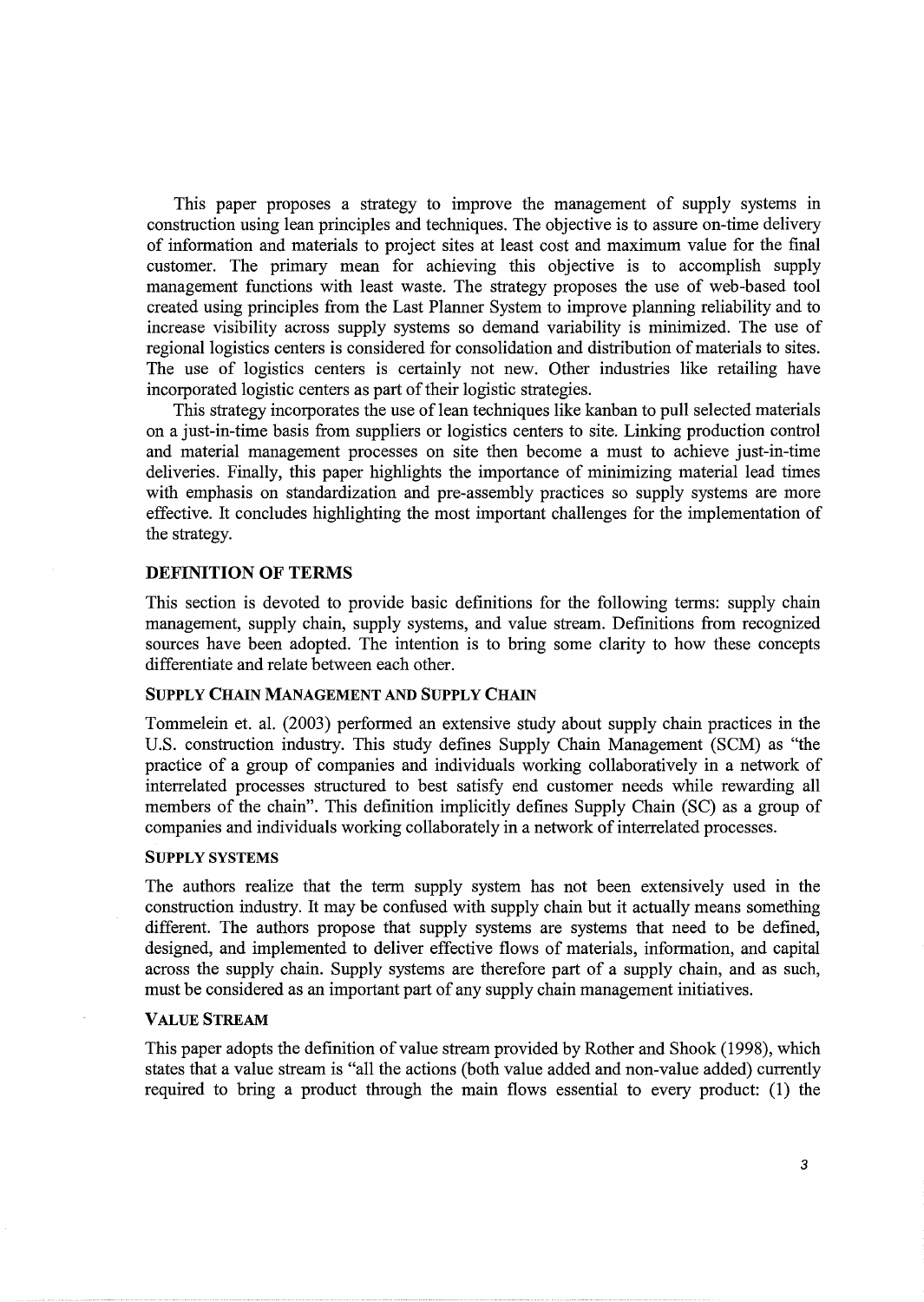This paper proposes a strategy to improve the management of supply systems in construction using lean principles and techniques. The objective is to assure on-time delivery of information and materials to project sites at least cost and maximum value for the final customer. The primary mean for achieving this objective is to accomplish supply management functions with least waste. The strategy proposes the use of web-based tool created using principles from the Last Planner System to improve planning reliability and to increase visibility across supply systems so demand variability is minimized. The use of regional logistics centers is considered for consolidation and distribution of materials to sites. The use of logistics centers is certainly not new. Other industries like retailing have incorporated logistic centers as part of their logistic strategies.

This strategy incorporates the use of lean techniques like kanban to pull selected materials on a just-in-time basis from suppliers or logistics centers to site. Linking production control and material management processes on site then become a must to achieve just-in-time deliveries. Finally, this paper highlights the importance of minimizing material lead times with emphasis on standardization and pre-assembly practices so supply systems are more effective. It concludes highlighting the most important challenges for the implementation of the strategy.

#### DEFINITION OF TERMS

This section is devoted to provide basic definitions for the following terms: supply chain management, supply chain, supply systems, and value stream. Definitions from recognized sources have been adopted. The intention is to bring some clarity to how these concepts differentiate and relate between each other.

### SUPPLY CHAIN MANAGEMENT AND SUPPLY CHAIN

Tommelein et. al. (2003) performed an extensive study about supply chain practices in the U.S. construction industry. This study defines Supply Chain Management (SCM) as "the practice of a group of companies and individuals working collaboratively in a network of interrelated processes structured to best satisfy end customer needs while rewarding all members of the chain". This definition implicitly defines Supply Chain (SC) as a group of companies and individuals working collaborately in a network of interrelated processes.

#### SUPPLY SYSTEMS

The authors realize that the term supply system has not been extensively used in the construction industry. It may be confused with supply chain but it actually means something different. The authors propose that supply systems are systems that need to be defined, designed, and implemented to deliver effective flows of materials, information, and capital across the supply chain. Supply systems are therefore part of a supply chain, and as such, must be considered as an important part of any supply chain management initiatives.

#### VALUE STREAM

This paper adopts the definition of value stream provided by Rother and Shook (1998), which states that a value stream is "all the actions (both value added and non-value added) currently required to bring a product through the main flows essential to every product: (1) the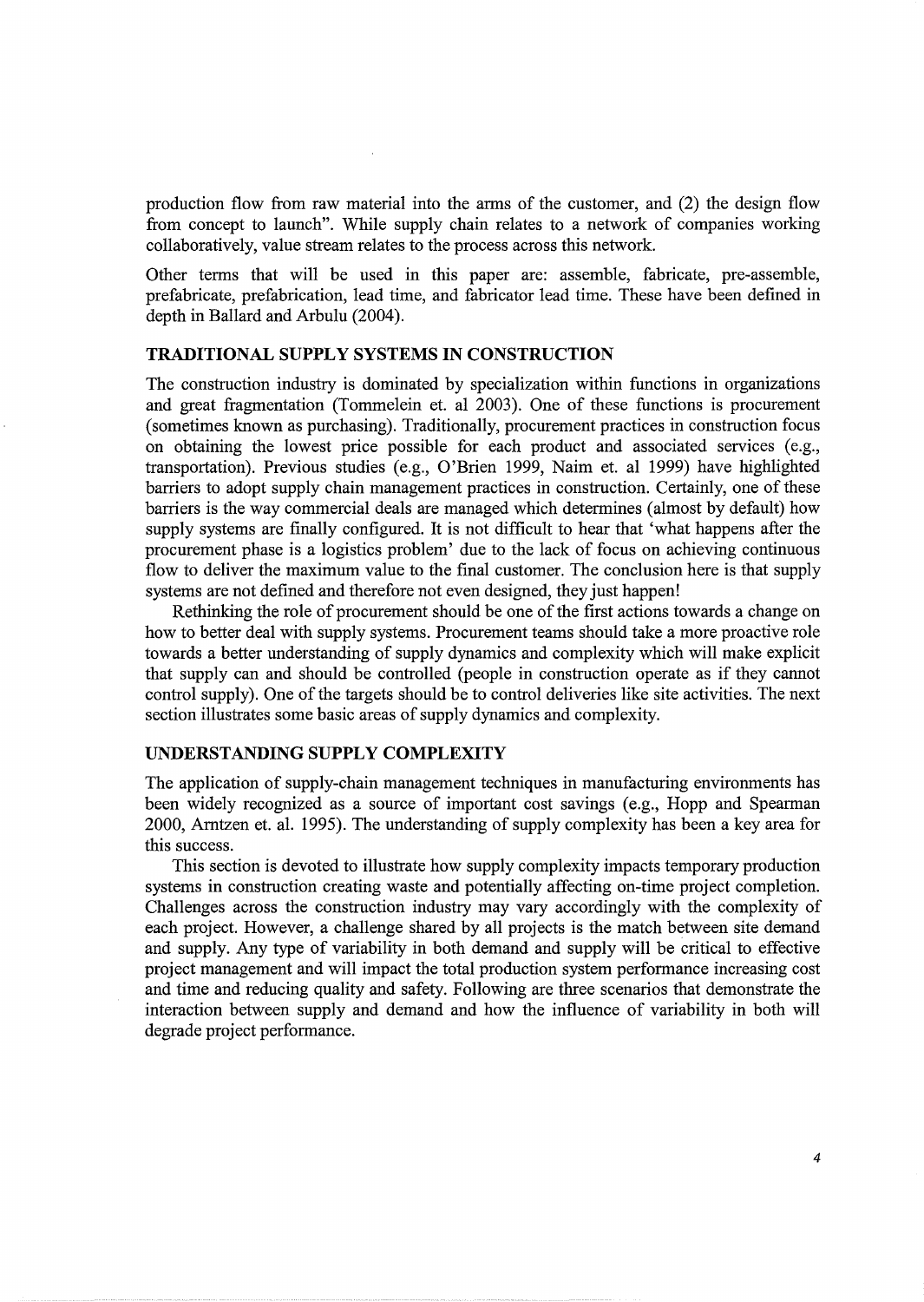production flow from raw material into the arms of the customer, and (2) the design flow from concept to launch". While supply chain relates to a network of companies working collaboratively, value stream relates to the process across this network.

Other terms that will be used in this paper are: assemble, fabricate, pre-assemble, prefabricate, prefabrication, lead time, and fabricator lead time. These have been defined in depth in Ballard and Arbulu (2004).

### **TRADITIONAL SUPPLY SYSTEMS IN CONSTRUCTION**

The construction industry is dominated by specialization within functions in organizations and great fragmentation (Tommelein et. al 2003). One of these functions is procurement (sometimes known as purchasing). Traditionally, procurement practices in construction focus on obtaining the lowest price possible for each product and associated services (e.g., transportation). Previous studies (e.g., O'Brien 1999, Nairn et. al 1999) have highlighted barriers to adopt supply chain management practices in construction. Certainly, one of these barriers is the way commercial deals are managed which determines (almost by default) how supply systems are finally configured. It is not difficult to hear that 'what happens after the procurement phase is a logistics problem' due to the lack of focus on achieving continuous flow to deliver the maximum value to the final customer. The conclusion here is that supply systems are not defined and therefore not even designed, they just happen!

Rethinking the role of procurement should be one of the first actions towards a change on how to better deal with supply systems. Procurement teams should take a more proactive role towards a better understanding of supply dynamics and complexity which will make explicit that supply can and should be controlled (people in construction operate as if they cannot control supply). One of the targets should be to control deliveries like site activities. The next section illustrates some basic areas of supply dynamics and complexity.

### **UNDERSTANDING SUPPLY COMPLEXITY**

The application of supply-chain management techniques in manufacturing environments has been widely recognized as a source of important cost savings (e.g., Hopp and Spearman 2000, Arntzen et. al. 1995). The understanding of supply complexity has been a key area for this success.

This section is devoted to illustrate how supply complexity impacts temporary production systems in construction creating waste and potentially affecting on-time project completion. Challenges across the construction industry may vary accordingly with the complexity of each project. However, a challenge shared by all projects is the match between site demand and supply. Any type of variability in both demand and supply will be critical to effective project management and will impact the total production system performance increasing cost and time and reducing quality and safety. Following are three scenarios that demonstrate the interaction between supply and demand and how the influence of variability in both will degrade project performance.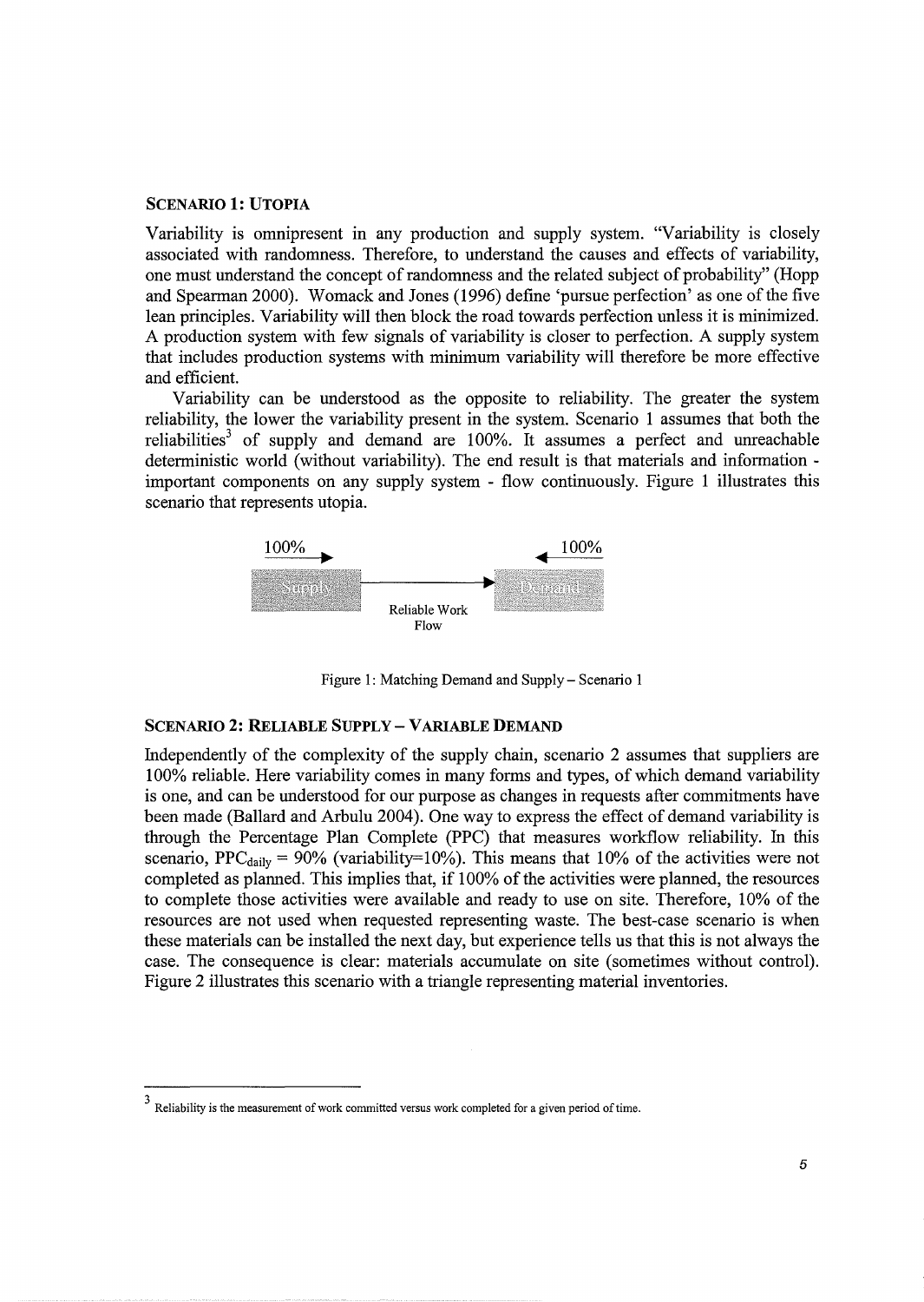### SCENARIO 1: UTOPIA

Variability is omnipresent in any production and supply system. "Variability is closely associated with randomness. Therefore, to understand the causes and effects of variability, one must understand the concept of randomness and the related subject of probability" (Hopp and Spearman 2000). Womack and Jones (1996) define 'pursue perfection' as one of the five lean principles. Variability will then block the road towards perfection unless it is minimized. A production system with few signals of variability is closer to perfection. A supply system that includes production systems with minimum variability will therefore be more effective and efficient.

Variability can be understood as the opposite to reliability. The greater the system reliability, the lower the variability present in the system. Scenario 1 assumes that both the reliabilities<sup>3</sup> of supply and demand are  $100\%$ . It assumes a perfect and unreachable deterministic world (without variability). The end result is that materials and information important components on any supply system - flow continuously. Figure 1 illustrates this scenario that represents utopia.



Figure 1: Matching Demand and Supply- Scenario 1

#### SCENARIO 2: RELIABLE SUPPLY-VARIABLE DEMAND

Independently of the complexity of the supply chain, scenario 2 assumes that suppliers are 100% reliable. Here variability comes in many forms and types, of which demand variability is one, and can be understood for our purpose as changes in requests after commitments have been made (Ballard and Arbulu 2004). One way to express the effect of demand variability is through the Percentage Plan Complete (PPC) that measures workflow reliability. In this scenario, PPC<sub>daily</sub> = 90% (variability=10%). This means that 10% of the activities were not completed as planned. This implies that, if 100% of the activities were planned, the resources to complete those activities were available and ready to use on site. Therefore, 10% of the resources are not used when requested representing waste. The best-case scenario is when these materials can be installed the next day, but experience tells us that this is not always the case. The consequence is clear: materials accumulate on site (sometimes without control). Figure 2 illustrates this scenario with a triangle representing material inventories.

Reliability is the measurement of work committed versus work completed for a given period of time.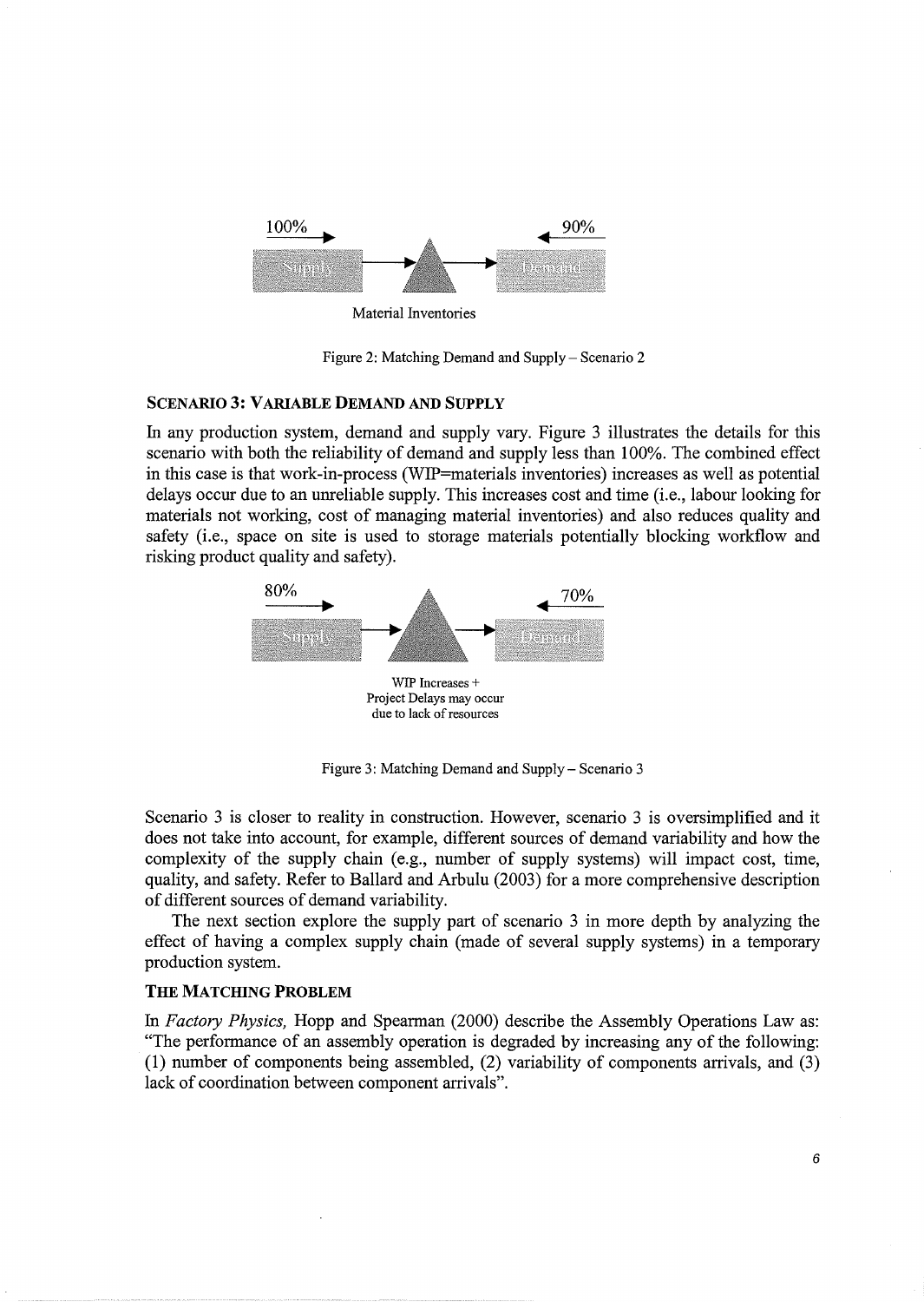

Material Inventories

Figure 2: Matching Demand and Supply- Scenario 2

#### SCENARIO 3: VARIABLE DEMAND AND SUPPLY

In any production system, demand and supply vary. Figure 3 illustrates the details for this scenario with both the reliability of demand and supply less than 100%. The combined effect in this case is that work-in-process (WIP=materials inventories) increases as well as potential delays occur due to an unreliable supply. This increases cost and time (i.e., labour looking for materials not working, cost of managing material inventories) and also reduces quality and safety (i.e., space on site is used to storage materials potentially blocking workflow and risking product quality and safety).



Figure 3: Matching Demand and Supply- Scenario 3

Scenario 3 is closer to reality in construction. However, scenario 3 is oversimplified and it does not take into account, for example, different sources of demand variability and how the complexity of the supply chain (e.g., number of supply systems) will impact cost, time, quality, and safety. Refer to Ballard and Arbulu (2003) for a more comprehensive description of different sources of demand variability.

The next section explore the supply part of scenario 3 in more depth by analyzing the effect of having a complex supply chain (made of several supply systems) in a temporary production system.

#### THE MATCHING PROBLEM

In *Factory Physics,* Hopp and Spearman (2000) describe the Assembly Operations Law as: "The performance of an assembly operation is degraded by increasing any of the following: (1) number of components being assembled, (2) variability of components arrivals, and (3) lack of coordination between component arrivals".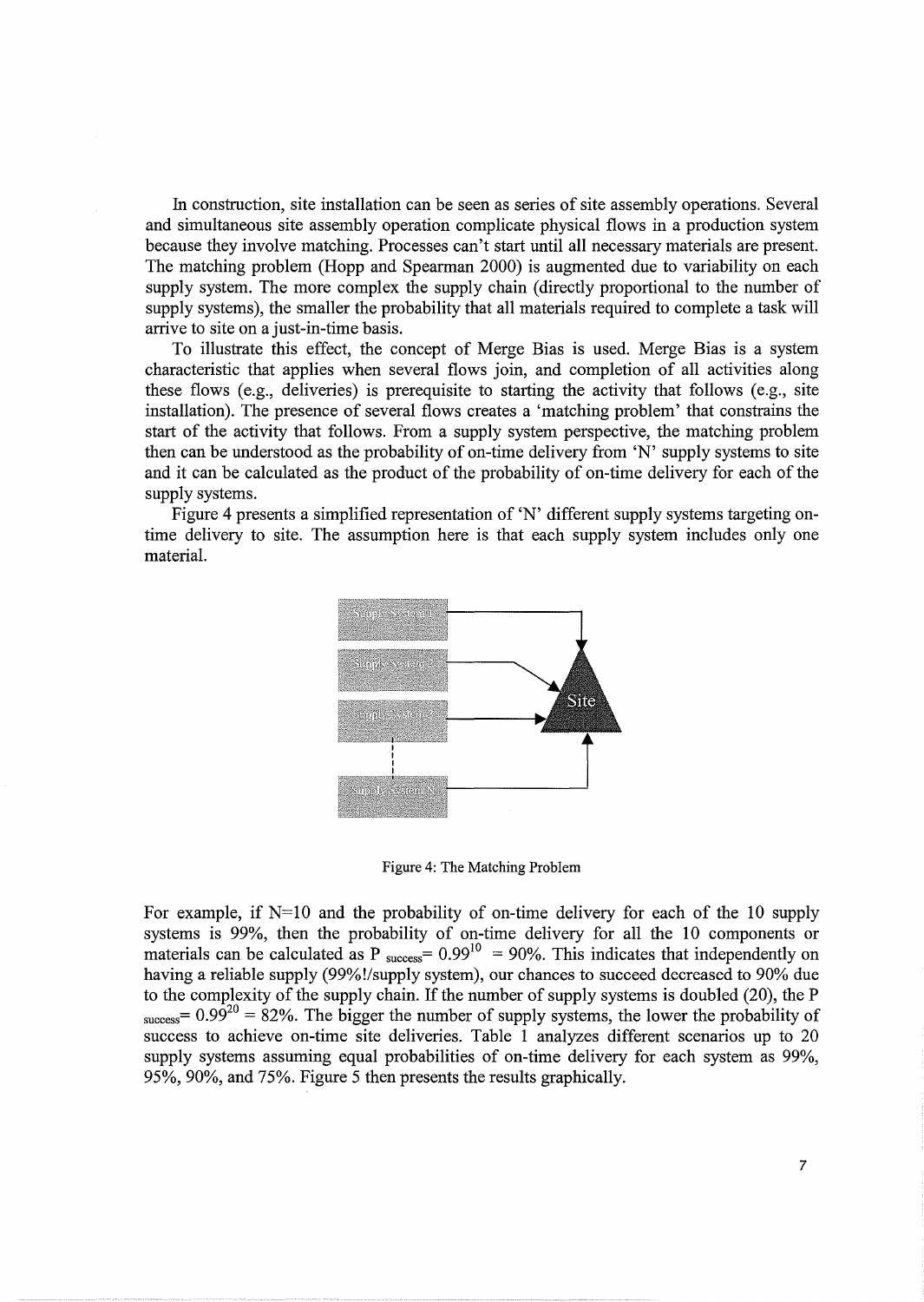In construction, site installation can be seen as series of site assembly operations. Several and simultaneous site assembly operation complicate physical flows in a production system because they involve matching. Processes can't start until all necessary materials are present. The matching problem (Hopp and Spearman 2000) is augmented due to variability on each supply system. The more complex the supply chain (directly proportional to the number of supply systems), the smaller the probability that all materials required to complete a task will arrive to site on a just-in-time basis.

To illustrate this effect, the concept of Merge Bias is used. Merge Bias is a system characteristic that applies when several flows join, and completion of all activities along these flows (e.g., deliveries) is prerequisite to starting the activity that follows (e.g., site installation). The presence of several flows creates a 'matching problem' that constrains the start of the activity that follows. From a supply system perspective, the matching problem then can be understood as the probability of on-time delivery from 'N' supply systems to site and it can be calculated as the product of the probability of on-time delivery for each of the supply systems.

Figure 4 presents a simplified representation of 'N' different supply systems targeting ontime delivery to site. The assumption here is that each supply system includes only one material.



Figure 4: The Matching Problem

For example, if  $N=10$  and the probability of on-time delivery for each of the 10 supply systems is 99%, then the probability of on-time delivery for all the 10 components or materials can be calculated as P  $_{\text{success}} = 0.99^{10} = 90\%$ . This indicates that independently on having a reliable supply (99%!/supply system), our chances to succeed decreased to 90% due to the complexity of the supply chain. If the number of supply systems is doubled (20), the P  $s_{\text{success}} = 0.99^{20} = 82\%$ . The bigger the number of supply systems, the lower the probability of success to achieve on-time site deliveries. Table 1 analyzes different scenarios up to 20 supply systems assuming equal probabilities of on-time delivery for each system as 99%, 95%, 90%, and 75%. Figure 5 then presents the results graphically.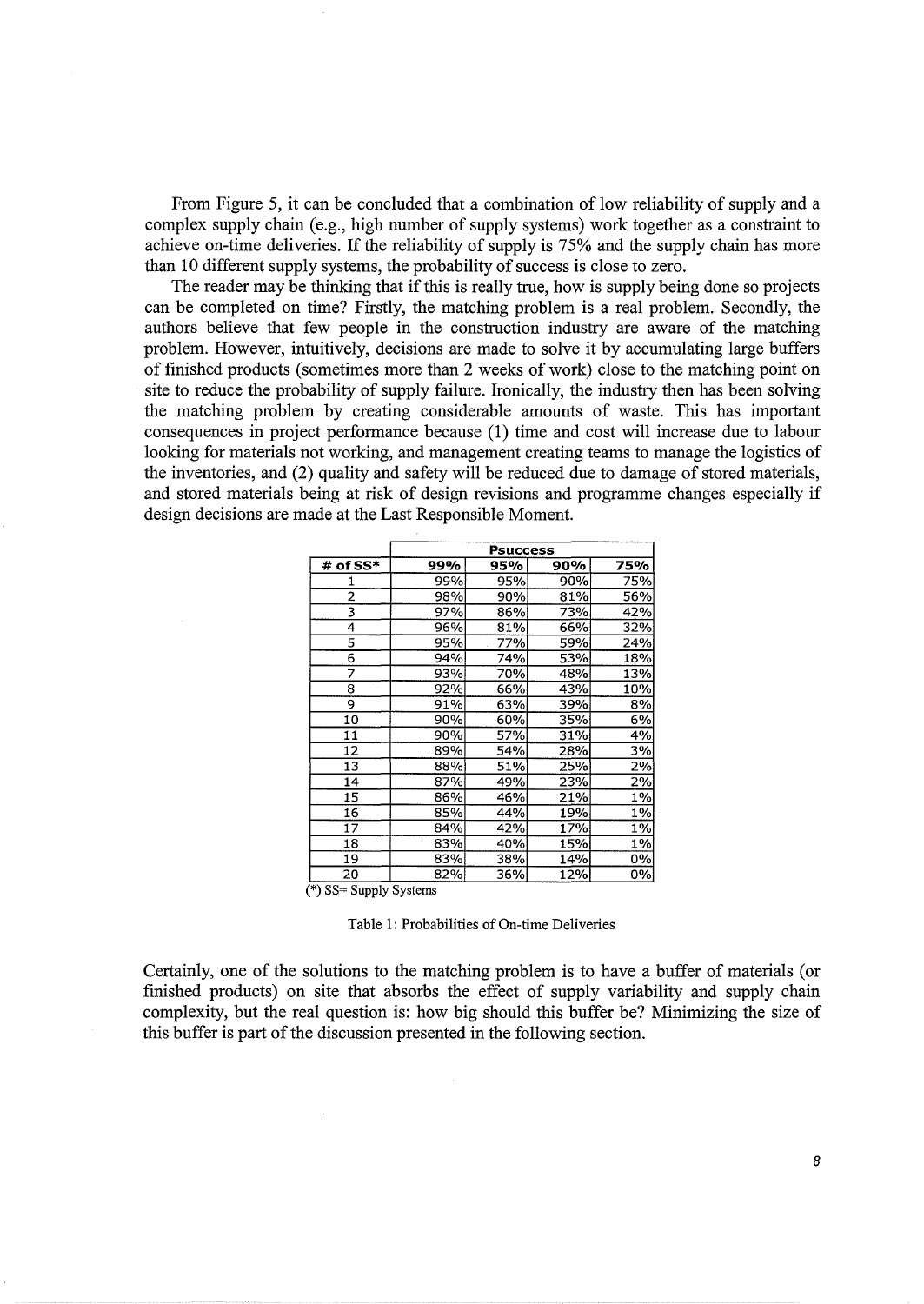From Figure 5, it can be concluded that a combination of low reliability of supply and a complex supply chain (e.g., high number of supply systems) work together as a constraint to achieve on-time deliveries. If the reliability of supply is 75% and the supply chain has more than 10 different supply systems, the probability of success is close to zero.

The reader may be thinking that if this is really true, how is supply being done so projects can be completed on time? Firstly, the matching problem is a real problem. Secondly, the authors believe that few people in the construction industry are aware of the matching problem. However, intuitively, decisions are made to solve it by accumulating large buffers of finished products (sometimes more than 2 weeks of work) close to the matching point on site to reduce the probability of supply failure. Ironically, the industry then has been solving the matching problem by creating considerable amounts of waste. This has important consequences in project performance because (1) time and cost will increase due to labour looking for materials not working, and management creating teams to manage the logistics of the inventories, and (2) quality and safety will be reduced due to damage of stored materials, and stored materials being at risk of design revisions and programme changes especially if design decisions are made at the Last Responsible Moment.

|                          | <b>Psuccess</b> |     |     |       |
|--------------------------|-----------------|-----|-----|-------|
| # of SS*                 | 99%             | 95% | 90% | 75%   |
| 1                        | 99%             | 95% | 90% | 75%   |
| $\overline{2}$           | 98%             | 90% | 81% | 56%   |
| 3                        | 97%             | 86% | 73% | 42%   |
| 4                        | 96%             | 81% | 66% | 32%   |
| $\overline{\mathbf{s}}$  | 95%             | 77% | 59% | 24%   |
| 6                        | 94%             | 74% | 53% | 18%   |
| 7                        | 93%             | 70% | 48% | 13%   |
| 8                        | 92%             | 66% | 43% | 10%   |
| 9                        | 91%             | 63% | 39% | 8%    |
| 10                       | 90%             | 60% | 35% | 6%    |
| 11                       | 90%             | 57% | 31% | 4%    |
| 12                       | 89%             | 54% | 28% | 3%    |
| 13                       | 88%             | 51% | 25% | 2%    |
| 14                       | 87%             | 49% | 23% | 2%    |
| 15                       | 86%             | 46% | 21% | 1%    |
| 16                       | 85%             | 44% | 19% | $1\%$ |
| 17                       | 84%             | 42% | 17% | 1%    |
| 18                       | 83%             | 40% | 15% | 1%    |
| 19                       | 83%             | 38% | 14% | 0%    |
| 20                       | 82%             | 36% | 12% | 0%    |
| $(*)$ SS= Supply Systems |                 |     |     |       |

Table 1: Probabilities of On-time Deliveries

Certainly, one of the solutions to the matching problem is to have a buffer of materials (or finished products) on site that absorbs the effect of supply variability and supply chain complexity, but the real question is: how big should this buffer be? Minimizing the size of this buffer is part of the discussion presented in the following section.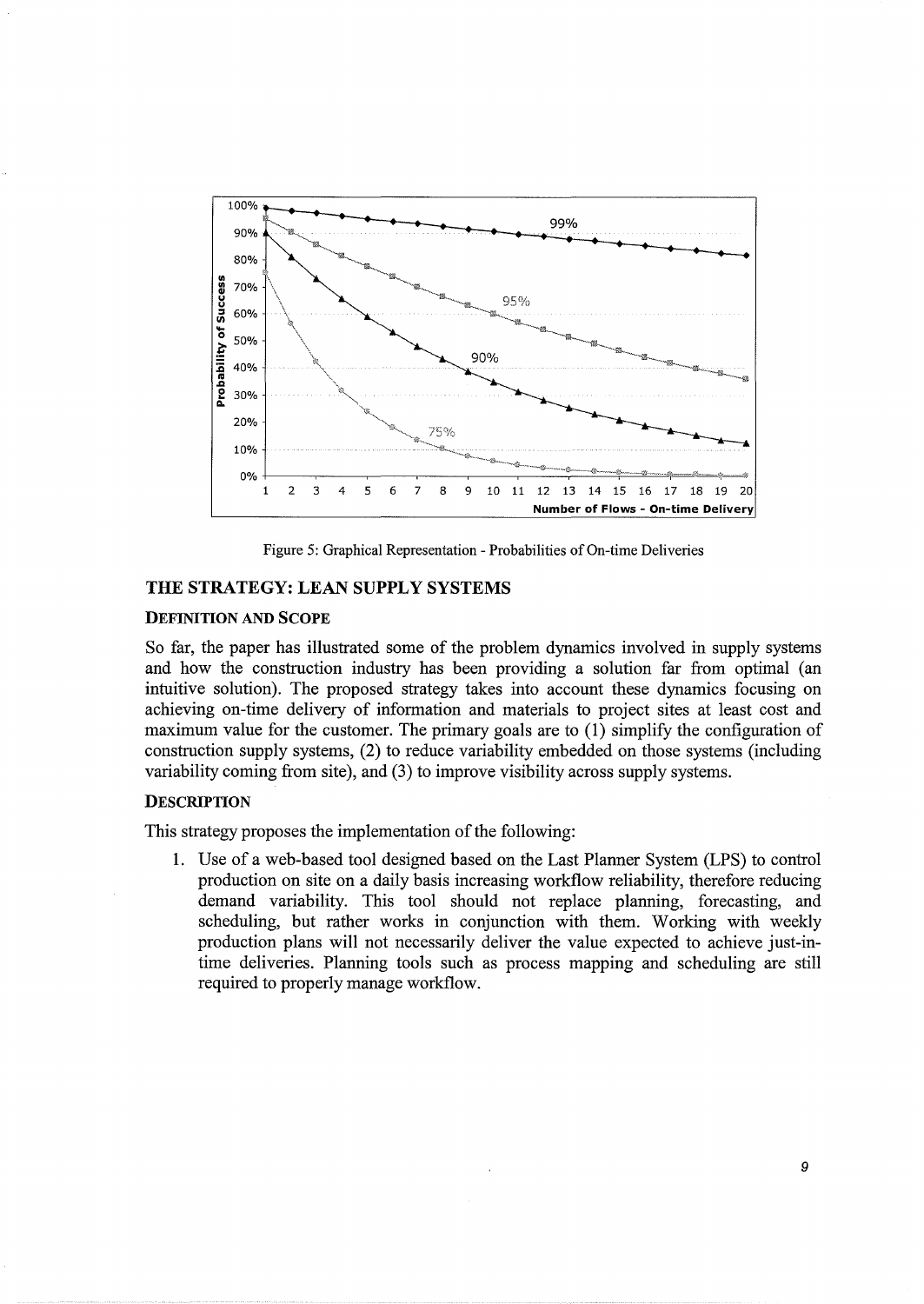

Figure 5: Graphical Representation- Probabilities of On-time Deliveries

### THE STRATEGY: LEAN SUPPLY SYSTEMS

### DEFINITION AND SCOPE

So far, the paper has illustrated some of the problem dynamics involved in supply systems and how the construction industry has been providing a solution far from optimal (an intuitive solution). The proposed strategy takes into account these dynamics focusing on achieving on-time delivery of information and materials to project sites at least cost and maximum value for the customer. The primary goals are to (1) simplify the configuration of construction supply systems, (2) to reduce variability embedded on those systems (including variability coming from site), and (3) to improve visibility across supply systems.

### **DESCRIPTION**

This strategy proposes the implementation of the following:

1. Use of a web-based tool designed based on the Last Planner System (LPS) to control production on site on a daily basis increasing workflow reliability, therefore reducing demand variability. This tool should not replace planning, forecasting, and scheduling, but rather works in conjunction with them. Working with weekly production plans will not necessarily deliver the value expected to achieve just-intime deliveries. Planning tools such as process mapping and scheduling are still required to properly manage workflow.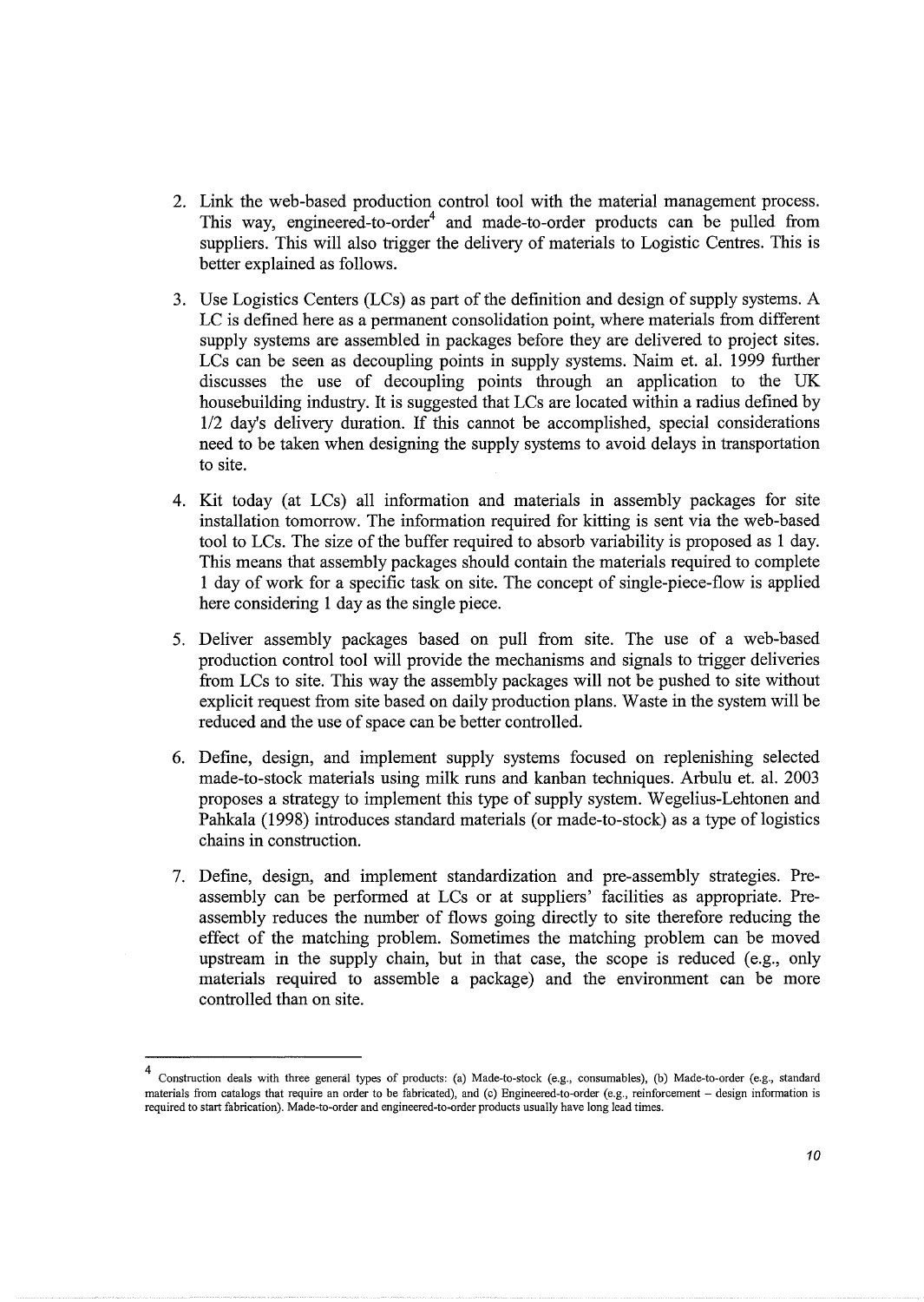- 2. Link the web-based production control tool with the material management process. This way, engineered-to-order<sup>4</sup> and made-to-order products can be pulled from suppliers. This will also trigger the delivery of materials to Logistic Centres. This is better explained as follows.
- 3. Use Logistics Centers (LCs) as part of the definition and design of supply systems. A LC is defined here as a permanent consolidation point, where materials from different supply systems are assembled in packages before they are delivered to project sites. LCs can be seen as decoupling points in supply systems. Naim et. al. 1999 further discusses the use of decoupling points through an application to the UK housebuilding industry. It is suggested that LCs are located within a radius defined by 112 day's delivery duration. If this cannot be accomplished, special considerations need to be taken when designing the supply systems to avoid delays in transportation to site.
- 4. Kit today (at LCs) all information and materials in assembly packages for site installation tomorrow. The information required for kitting is sent via the web-based tool to LCs. The size of the buffer required to absorb variability is proposed as 1 day. This means that assembly packages should contain the materials required to complete 1 day of work for a specific task on site. The concept of single-piece-flow is applied here considering 1 day as the single piece.
- 5. Deliver assembly packages based on pull from site. The use of a web-based production control tool will provide the mechanisms and signals to trigger deliveries from LCs to site. This way the assembly packages will not be pushed to site without explicit request from site based on daily production plans. Waste in the system will be reduced and the use of space can be better controlled.
- 6. Define, design, and implement supply systems focused on replenishing selected made-to-stock materials using milk runs and kanban techniques. Arbulu et. al. 2003 proposes a strategy to implement this type of supply system. Wegelius-Lehtonen and Pahkala ( 1998) introduces standard materials (or made-to-stock) as a type of logistics chains in construction.
- 7. Define, design, and implement standardization and pre-assembly strategies. Preassembly can be performed at LCs or at suppliers' facilities as appropriate. Preassembly reduces the number of flows going directly to site therefore reducing the effect of the matching problem. Sometimes the matching problem can be moved upstream in the supply chain, but in that case, the scope is reduced (e.g., only materials required to assemble a package) and the environment can be more controlled than on site.

<sup>4</sup> Construction deals with three general types of products: (a) Made-to-stock (e.g., consumables), (b) Made-to-order (e.g., standard materials from catalogs that require an order to be fabricated), and (c) Engineered-to-order (e.g., reinforcement - design information is required to start fabrication). Made-to-order and engineered-to-order products usually have long lead times.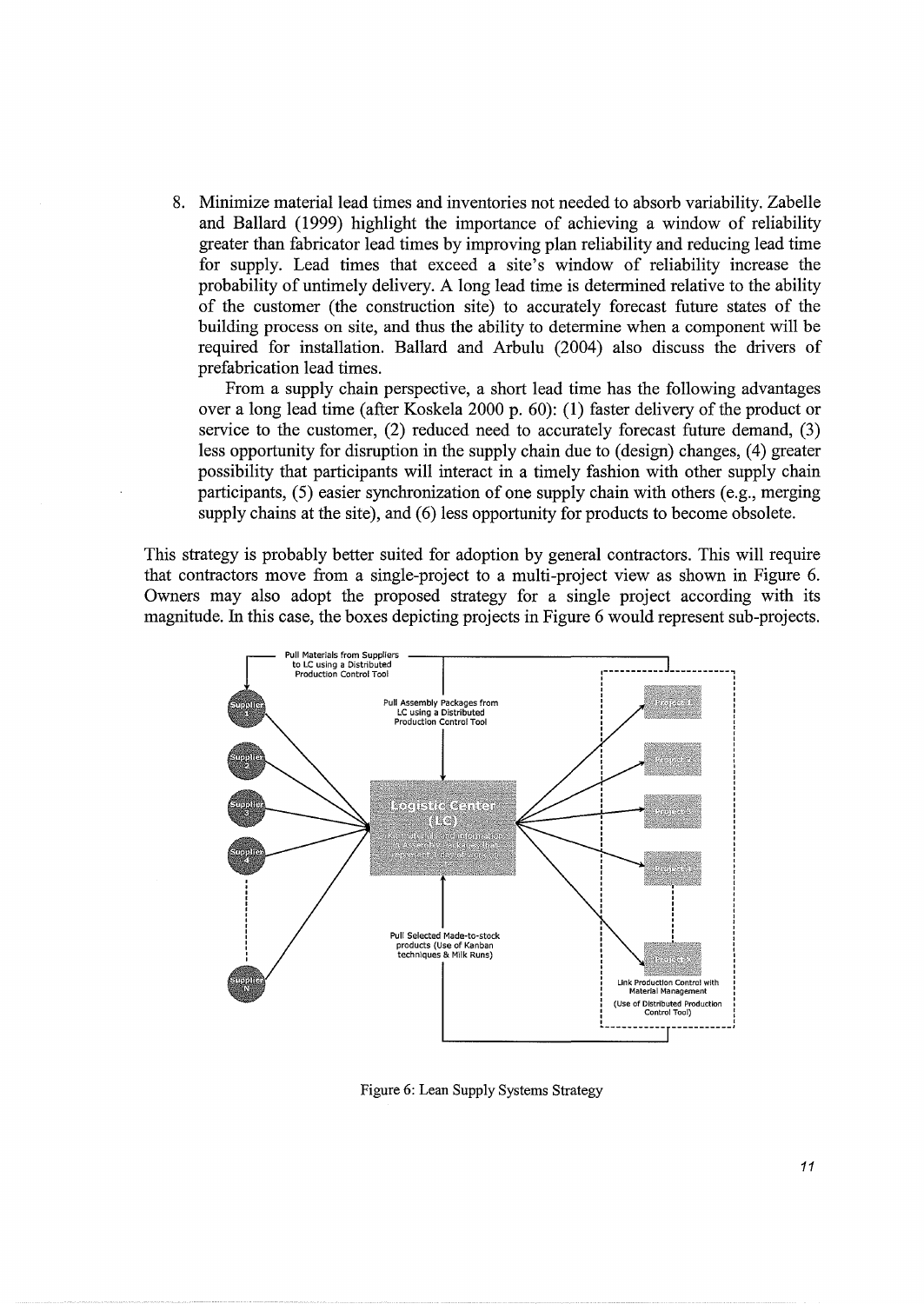8. Minimize material lead times and inventories not needed to absorb variability. Zabelle and Ballard (1999) highlight the importance of achieving a window of reliability greater than fabricator lead times by improving plan reliability and reducing lead time for supply. Lead times that exceed a site's window of reliability increase the probability of untimely delivery. A long lead time is determined relative to the ability of the customer (the construction site) to accurately forecast future states of the building process on site, and thus the ability to determine when a component will be required for installation. Ballard and Arbulu (2004) also discuss the drivers of prefabrication lead times.

From a supply chain perspective, a short lead time has the following advantages over a long lead time (after Koskela 2000 p. 60): (1) faster delivery of the product or service to the customer, (2) reduced need to accurately forecast future demand, (3) less opportunity for disruption in the supply chain due to (design) changes, (4) greater possibility that participants will interact in a timely fashion with other supply chain participants, (5) easier synchronization of one supply chain with others (e.g., merging supply chains at the site), and (6) less opportunity for products to become obsolete.

This strategy is probably better suited for adoption by general contractors. This will require that contractors move from a single-project to a multi-project view as shown in Figure 6. Owners may also adopt the proposed strategy for a single project according with its magnitude. In this case, the boxes depicting projects in Figure 6 would represent sub-projects.



Figure 6: Lean Supply Systems Strategy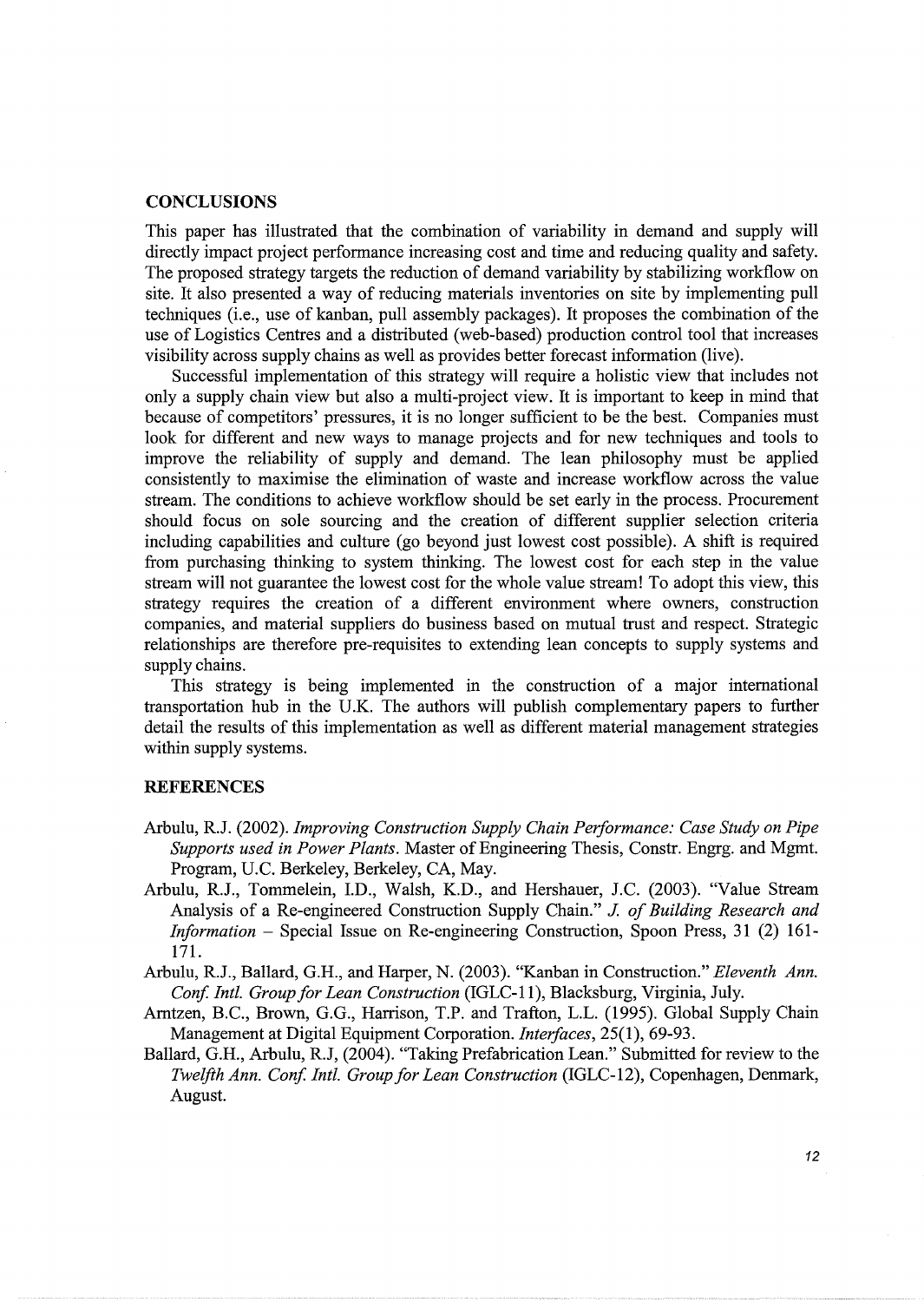#### **CONCLUSIONS**

This paper has illustrated that the combination of variability in demand and supply will directly impact project performance increasing cost and time and reducing quality and safety. The proposed strategy targets the reduction of demand variability by stabilizing workflow on site. It also presented a way of reducing materials inventories on site by implementing pull techniques (i.e., use of kanban, pull assembly packages). It proposes the combination of the use of Logistics Centres and a distributed (web-based) production control tool that increases visibility across supply chains as well as provides better forecast information (live).

Successful implementation of this strategy will require a holistic view that includes not only a supply chain view but also a multi-project view. It is important to keep in mind that because of competitors' pressures, it is no longer sufficient to be the best. Companies must look for different and new ways to manage projects and for new techniques and tools to improve the reliability of supply and demand. The lean philosophy must be applied consistently to maximise the elimination of waste and increase workflow across the value stream. The conditions to achieve workflow should be set early in the process. Procurement should focus on sole sourcing and the creation of different supplier selection criteria including capabilities and culture (go beyond just lowest cost possible). A shift is required from purchasing thinking to system thinking. The lowest cost for each step in the value stream will not guarantee the lowest cost for the whole value stream! To adopt this view, this strategy requires the creation of a different environment where owners, construction companies, and material suppliers do business based on mutual trust and respect. Strategic relationships are therefore pre-requisites to extending lean concepts to supply systems and supply chains.

This strategy is being implemented in the construction of a major international transportation hub in the U.K. The authors will publish complementary papers to further detail the results of this implementation as well as different material management strategies within supply systems.

### **REFERENCES**

- Arbulu, R.J. (2002). *Improving Construction Supply Chain Performance: Case Study on Pipe Supports used in Power Plants.* Master of Engineering Thesis, Constr. Engrg. and Mgrnt. Program, U.C. Berkeley, Berkeley, CA, May.
- Arbulu, R.J., Tommelein, I.D., Walsh, K.D., and Hershauer, J.C. (2003). "Value Stream Analysis of a Re-engineered Construction Supply Chain." J. *of Building Research and Information* - Special Issue on Re-engineering Construction, Spoon Press, 31 (2) 161- 171.
- Arbulu, R.J., Ballard, G.H., and Harper, N. (2003). "Kanban in Construction." *Eleventh Ann. Conf Inti. Group for Lean Construction* (IGLC-11 ), Blacksburg, Virginia, July.
- Arntzen, B.C., Brown, G.G., Harrison, T.P. and Trafton, L.L. (1995). Global Supply Chain Management at Digital Equipment Corporation. *Interfaces,* 25(1), 69-93.
- Ballard, G.H., Arbulu, R.J, (2004). "Taking Prefabrication Lean." Submitted for review to the *Twelfth Ann. Conf Inti. Group for Lean Construction* (IGLC-12), Copenhagen, Denmark, August.